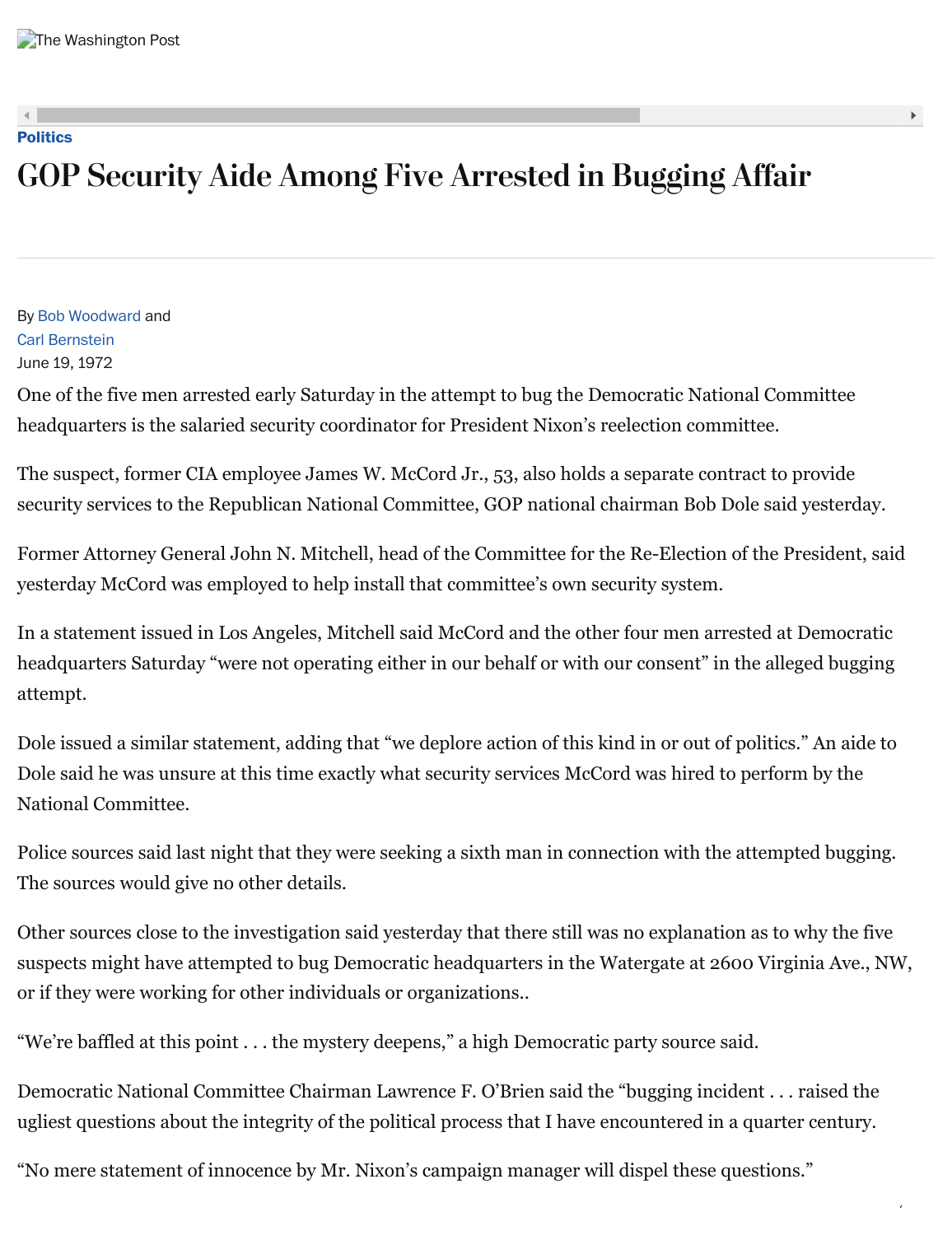## **[Politics](https://www.washingtonpost.com/politics)**

# GOP Security Aide Among Five Arrested in Bugging Affair

By [Bob Woodward](https://www.washingtonpost.com/people/bob-woodward/) and [Carl Bernstein](http://www.carlbernstein.com/home.php) June 19, 1972

One of the five men arrested early Saturday in the attempt to bug the Democratic National Committee headquarters is the salaried security coordinator for President Nixon's reelection committee.

The suspect, former CIA employee James W. McCord Jr., 53, also holds a separate contract to provide security services to the Republican National Committee, GOP national chairman Bob Dole said yesterday.

Former Attorney General John N. Mitchell, head of the Committee for the Re-Election of the President, said yesterday McCord was employed to help install that committee's own security system.

In a statement issued in Los Angeles, Mitchell said McCord and the other four men arrested at Democratic headquarters Saturday "were not operating either in our behalf or with our consent" in the alleged bugging attempt.

Dole issued a similar statement, adding that "we deplore action of this kind in or out of politics." An aide to Dole said he was unsure at this time exactly what security services McCord was hired to perform by the National Committee.

Police sources said last night that they were seeking a sixth man in connection with the attempted bugging. The sources would give no other details.

Other sources close to the investigation said yesterday that there still was no explanation as to why the five suspects might have attempted to bug Democratic headquarters in the Watergate at 2600 Virginia Ave., NW, or if they were working for other individuals or organizations..

"We're baffled at this point . . . the mystery deepens," a high Democratic party source said.

Democratic National Committee Chairman Lawrence F. O'Brien said the "bugging incident . . . raised the ugliest questions about the integrity of the political process that I have encountered in a quarter century.

/

"No mere statement of innocence by Mr. Nixon's campaign manager will dispel these questions."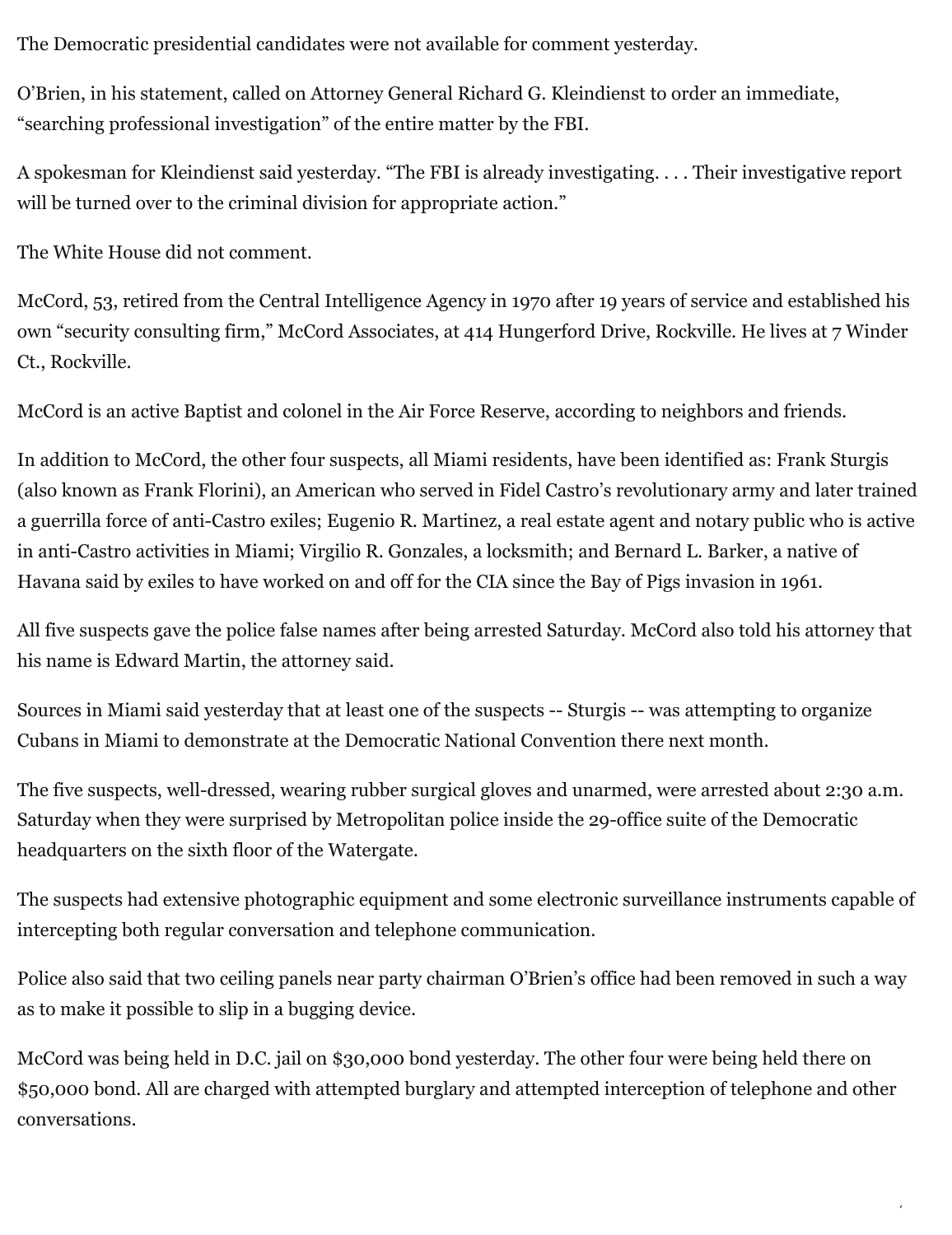The Democratic presidential candidates were not available for comment yesterday.

O'Brien, in his statement, called on Attorney General Richard G. Kleindienst to order an immediate, "searching professional investigation" of the entire matter by the FBI.

A spokesman for Kleindienst said yesterday. "The FBI is already investigating. . . . Their investigative report will be turned over to the criminal division for appropriate action."

The White House did not comment.

McCord, 53, retired from the Central Intelligence Agency in 1970 after 19 years of service and established his own "security consulting firm," McCord Associates, at 414 Hungerford Drive, Rockville. He lives at 7 Winder Ct., Rockville.

McCord is an active Baptist and colonel in the Air Force Reserve, according to neighbors and friends.

In addition to McCord, the other four suspects, all Miami residents, have been identified as: Frank Sturgis (also known as Frank Florini), an American who served in Fidel Castro's revolutionary army and later trained a guerrilla force of anti-Castro exiles; Eugenio R. Martinez, a real estate agent and notary public who is active in anti-Castro activities in Miami; Virgilio R. Gonzales, a locksmith; and Bernard L. Barker, a native of Havana said by exiles to have worked on and off for the CIA since the Bay of Pigs invasion in 1961.

All five suspects gave the police false names after being arrested Saturday. McCord also told his attorney that his name is Edward Martin, the attorney said.

Sources in Miami said yesterday that at least one of the suspects -- Sturgis -- was attempting to organize Cubans in Miami to demonstrate at the Democratic National Convention there next month.

The five suspects, well-dressed, wearing rubber surgical gloves and unarmed, were arrested about 2:30 a.m. Saturday when they were surprised by Metropolitan police inside the 29-office suite of the Democratic headquarters on the sixth floor of the Watergate.

The suspects had extensive photographic equipment and some electronic surveillance instruments capable of intercepting both regular conversation and telephone communication.

Police also said that two ceiling panels near party chairman O'Brien's office had been removed in such a way as to make it possible to slip in a bugging device.

McCord was being held in D.C. jail on \$30,000 bond yesterday. The other four were being held there on \$50,000 bond. All are charged with attempted burglary and attempted interception of telephone and other conversations.

/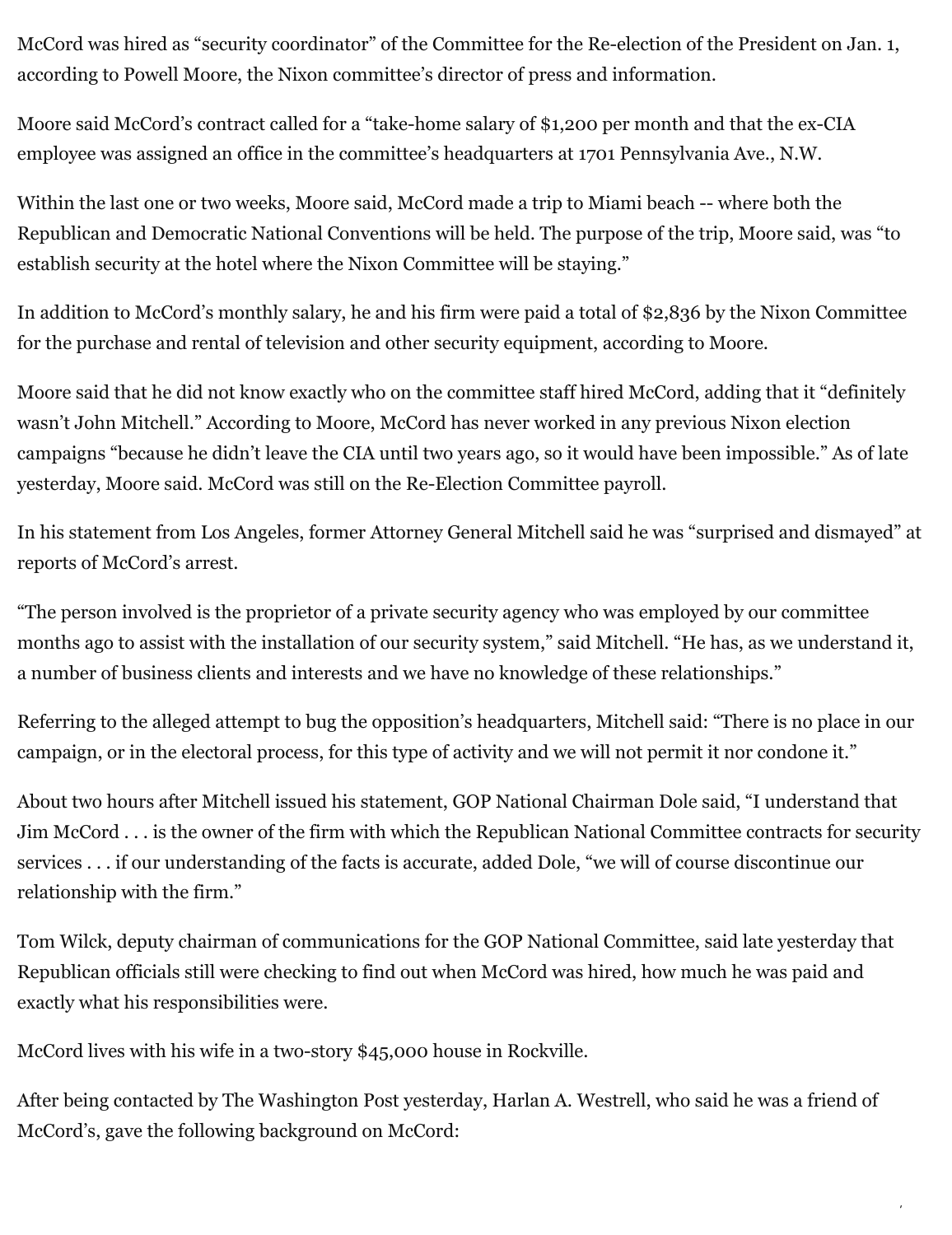McCord was hired as "security coordinator" of the Committee for the Re-election of the President on Jan. 1, according to Powell Moore, the Nixon committee's director of press and information.

Moore said McCord's contract called for a "take-home salary of \$1,200 per month and that the ex-CIA employee was assigned an office in the committee's headquarters at 1701 Pennsylvania Ave., N.W.

Within the last one or two weeks, Moore said, McCord made a trip to Miami beach -- where both the Republican and Democratic National Conventions will be held. The purpose of the trip, Moore said, was "to establish security at the hotel where the Nixon Committee will be staying."

In addition to McCord's monthly salary, he and his firm were paid a total of \$2,836 by the Nixon Committee for the purchase and rental of television and other security equipment, according to Moore.

Moore said that he did not know exactly who on the committee staff hired McCord, adding that it "definitely wasn't John Mitchell." According to Moore, McCord has never worked in any previous Nixon election campaigns "because he didn't leave the CIA until two years ago, so it would have been impossible." As of late yesterday, Moore said. McCord was still on the Re-Election Committee payroll.

In his statement from Los Angeles, former Attorney General Mitchell said he was "surprised and dismayed" at reports of McCord's arrest.

"The person involved is the proprietor of a private security agency who was employed by our committee months ago to assist with the installation of our security system," said Mitchell. "He has, as we understand it, a number of business clients and interests and we have no knowledge of these relationships."

Referring to the alleged attempt to bug the opposition's headquarters, Mitchell said: "There is no place in our campaign, or in the electoral process, for this type of activity and we will not permit it nor condone it."

About two hours after Mitchell issued his statement, GOP National Chairman Dole said, "I understand that Jim McCord . . . is the owner of the firm with which the Republican National Committee contracts for security services . . . if our understanding of the facts is accurate, added Dole, "we will of course discontinue our relationship with the firm."

Tom Wilck, deputy chairman of communications for the GOP National Committee, said late yesterday that Republican officials still were checking to find out when McCord was hired, how much he was paid and exactly what his responsibilities were.

McCord lives with his wife in a two-story \$45,000 house in Rockville.

After being contacted by The Washington Post yesterday, Harlan A. Westrell, who said he was a friend of McCord's, gave the following background on McCord:

/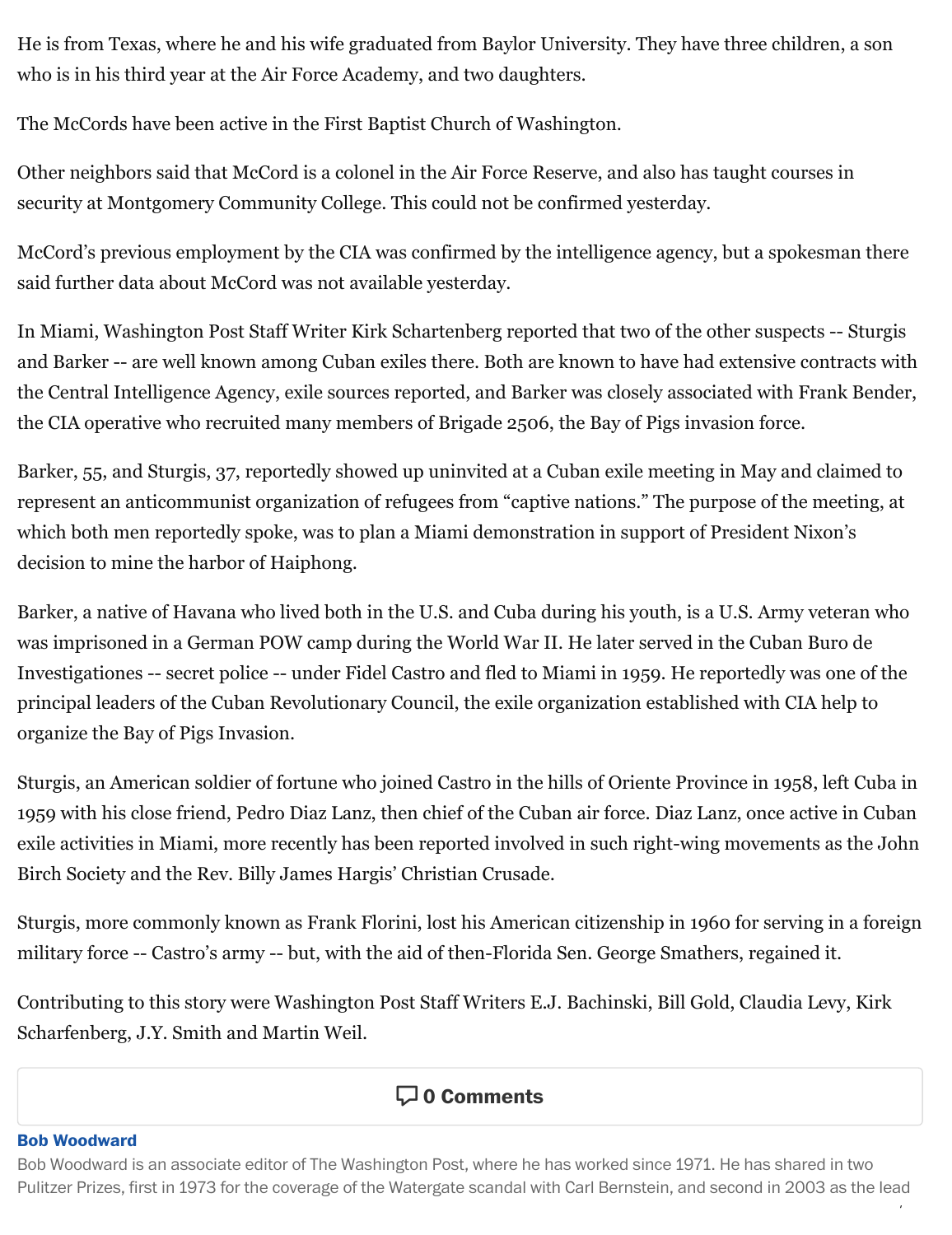He is from Texas, where he and his wife graduated from Baylor University. They have three children, a son who is in his third year at the Air Force Academy, and two daughters.

The McCords have been active in the First Baptist Church of Washington.

Other neighbors said that McCord is a colonel in the Air Force Reserve, and also has taught courses in security at Montgomery Community College. This could not be confirmed yesterday.

McCord's previous employment by the CIA was confirmed by the intelligence agency, but a spokesman there said further data about McCord was not available yesterday.

In Miami, Washington Post Staff Writer Kirk Schartenberg reported that two of the other suspects -- Sturgis and Barker -- are well known among Cuban exiles there. Both are known to have had extensive contracts with the Central Intelligence Agency, exile sources reported, and Barker was closely associated with Frank Bender, the CIA operative who recruited many members of Brigade 2506, the Bay of Pigs invasion force.

Barker, 55, and Sturgis, 37, reportedly showed up uninvited at a Cuban exile meeting in May and claimed to represent an anticommunist organization of refugees from "captive nations." The purpose of the meeting, at which both men reportedly spoke, was to plan a Miami demonstration in support of President Nixon's decision to mine the harbor of Haiphong.

Barker, a native of Havana who lived both in the U.S. and Cuba during his youth, is a U.S. Army veteran who was imprisoned in a German POW camp during the World War II. He later served in the Cuban Buro de Investigationes -- secret police -- under Fidel Castro and fled to Miami in 1959. He reportedly was one of the principal leaders of the Cuban Revolutionary Council, the exile organization established with CIA help to organize the Bay of Pigs Invasion.

Sturgis, an American soldier of fortune who joined Castro in the hills of Oriente Province in 1958, left Cuba in 1959 with his close friend, Pedro Diaz Lanz, then chief of the Cuban air force. Diaz Lanz, once active in Cuban exile activities in Miami, more recently has been reported involved in such right-wing movements as the John Birch Society and the Rev. Billy James Hargis' Christian Crusade.

Sturgis, more commonly known as Frank Florini, lost his American citizenship in 1960 for serving in a foreign military force -- Castro's army -- but, with the aid of then-Florida Sen. George Smathers, regained it.

Contributing to this story were Washington Post Staff Writers E.J. Bachinski, Bill Gold, Claudia Levy, Kirk Scharfenberg, J.Y. Smith and Martin Weil.

## **0 Comments**

#### **Bob [Woodward](https://www.washingtonpost.com/people/bob-woodward/)**

/ Bob Woodward is an associate editor of The Washington Post, where he has worked since 1971. He has shared in two Pulitzer Prizes, first in 1973 for the coverage of the Watergate scandal with Carl Bernstein, and second in 2003 as the lead